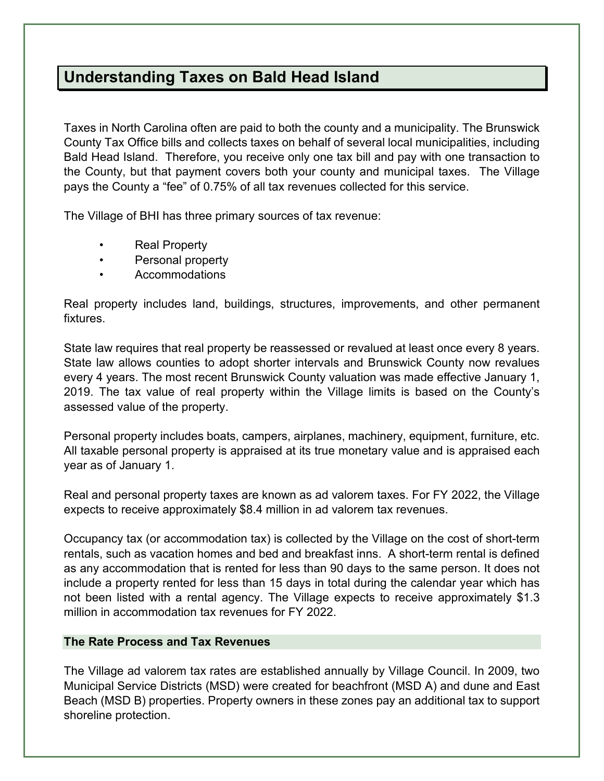## **Understanding Taxes on Bald Head Island**

Taxes in North Carolina often are paid to both the county and a municipality. The Brunswick County Tax Office bills and collects taxes on behalf of several local municipalities, including Bald Head Island. Therefore, you receive only one tax bill and pay with one transaction to the County, but that payment covers both your county and municipal taxes. The Village pays the County a "fee" of 0.75% of all tax revenues collected for this service.

The Village of BHI has three primary sources of tax revenue:

- Real Property
- Personal property
- Accommodations

Real property includes land, buildings, structures, improvements, and other permanent fixtures.

State law requires that real property be reassessed or revalued at least once every 8 years. State law allows counties to adopt shorter intervals and Brunswick County now revalues every 4 years. The most recent Brunswick County valuation was made effective January 1, 2019. The tax value of real property within the Village limits is based on the County's assessed value of the property.

Personal property includes boats, campers, airplanes, machinery, equipment, furniture, etc. All taxable personal property is appraised at its true monetary value and is appraised each year as of January 1.

Real and personal property taxes are known as ad valorem taxes. For FY 2022, the Village expects to receive approximately \$8.4 million in ad valorem tax revenues.

Occupancy tax (or accommodation tax) is collected by the Village on the cost of short-term rentals, such as vacation homes and bed and breakfast inns. A short-term rental is defined as any accommodation that is rented for less than 90 days to the same person. It does not include a property rented for less than 15 days in total during the calendar year which has not been listed with a rental agency. The Village expects to receive approximately \$1.3 million in accommodation tax revenues for FY 2022.

## **The Rate Process and Tax Revenues**

The Village ad valorem tax rates are established annually by Village Council. In 2009, two Municipal Service Districts (MSD) were created for beachfront (MSD A) and dune and East Beach (MSD B) properties. Property owners in these zones pay an additional tax to support shoreline protection.